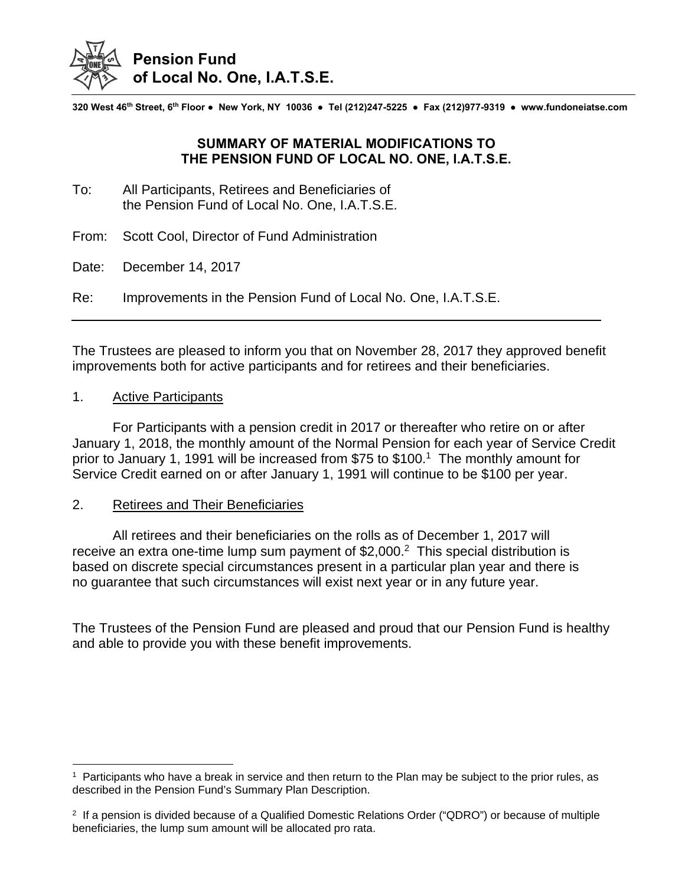

**320 West 46th Street, 6th Floor ● New York, NY 10036 ● Tel (212)247-5225 ● Fax (212)977-9319 ● www.fundoneiatse.com** 

## **SUMMARY OF MATERIAL MODIFICATIONS TO THE PENSION FUND OF LOCAL NO. ONE, I.A.T.S.E.**

- To: All Participants, Retirees and Beneficiaries of the Pension Fund of Local No. One, I.A.T.S.E.
- From: Scott Cool, Director of Fund Administration
- Date: December 14, 2017

Re: Improvements in the Pension Fund of Local No. One, I.A.T.S.E.

The Trustees are pleased to inform you that on November 28, 2017 they approved benefit improvements both for active participants and for retirees and their beneficiaries.

## 1. Active Participants

 $\overline{a}$ 

 For Participants with a pension credit in 2017 or thereafter who retire on or after January 1, 2018, the monthly amount of the Normal Pension for each year of Service Credit prior to January 1, 1991 will be increased from \$75 to \$100.<sup>1</sup> The monthly amount for Service Credit earned on or after January 1, 1991 will continue to be \$100 per year.

## 2. Retirees and Their Beneficiaries

 All retirees and their beneficiaries on the rolls as of December 1, 2017 will receive an extra one-time lump sum payment of \$2,000.<sup>2</sup> This special distribution is based on discrete special circumstances present in a particular plan year and there is no guarantee that such circumstances will exist next year or in any future year.

The Trustees of the Pension Fund are pleased and proud that our Pension Fund is healthy and able to provide you with these benefit improvements.

 $<sup>1</sup>$  Participants who have a break in service and then return to the Plan may be subject to the prior rules, as</sup> described in the Pension Fund's Summary Plan Description.

 $2$  If a pension is divided because of a Qualified Domestic Relations Order ("QDRO") or because of multiple beneficiaries, the lump sum amount will be allocated pro rata.